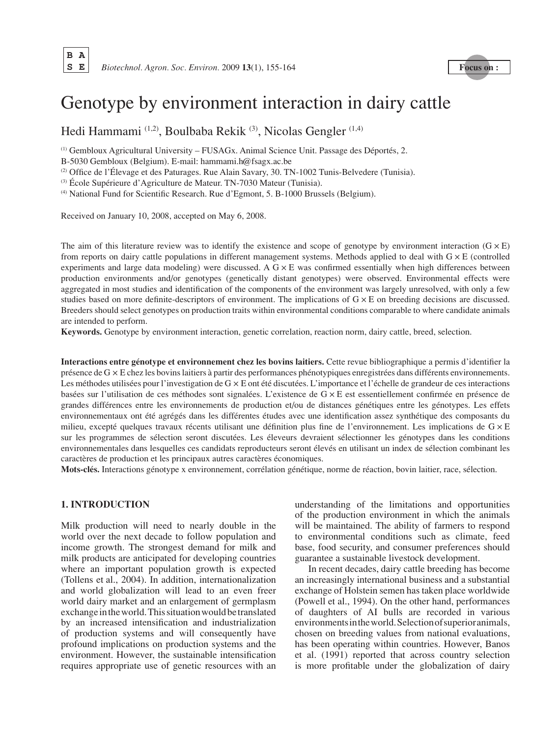# Genotype by environment interaction in dairy cattle

Hedi Hammami (1,2), Boulbaba Rekik (3), Nicolas Gengler (1,4)

(1) Gembloux Agricultural University – FUSAGx. Animal Science Unit. Passage des Déportés, 2.

B-5030 Gembloux (Belgium). E-mail: hammami.h@fsagx.ac.be

(2) Office de l'Élevage et des Paturages. Rue Alain Savary, 30. TN-1002 Tunis-Belvedere (Tunisia).

(3) École Supérieure d'Agriculture de Mateur. TN-7030 Mateur (Tunisia).

(4) National Fund for Scientific Research. Rue d'Egmont, 5. B-1000 Brussels (Belgium).

Received on January 10, 2008, accepted on May 6, 2008.

The aim of this literature review was to identify the existence and scope of genotype by environment interaction  $(G \times E)$ from reports on dairy cattle populations in different management systems. Methods applied to deal with  $G \times E$  (controlled experiments and large data modeling) were discussed. A  $G \times E$  was confirmed essentially when high differences between production environments and/or genotypes (genetically distant genotypes) were observed. Environmental effects were aggregated in most studies and identification of the components of the environment was largely unresolved, with only a few studies based on more definite-descriptors of environment. The implications of G × E on breeding decisions are discussed. Breeders should select genotypes on production traits within environmental conditions comparable to where candidate animals are intended to perform.

**Keywords.** Genotype by environment interaction, genetic correlation, reaction norm, dairy cattle, breed, selection.

**Interactions entre génotype et environnement chez les bovins laitiers.** Cette revue bibliographique a permis d'identifier la présence de G × E chez les bovins laitiers à partir des performances phénotypiques enregistrées dans différents environnements. Les méthodes utilisées pour l'investigation de G  $\times$  E ont été discutées. L'importance et l'échelle de grandeur de ces interactions basées sur l'utilisation de ces méthodes sont signalées. L'existence de G × E est essentiellement confirmée en présence de grandes différences entre les environnements de production et/ou de distances génétiques entre les génotypes. Les effets environnementaux ont été agrégés dans les différentes études avec une identification assez synthétique des composants du milieu, excepté quelques travaux récents utilisant une définition plus fine de l'environnement. Les implications de G × E sur les programmes de sélection seront discutées. Les éleveurs devraient sélectionner les génotypes dans les conditions environnementales dans lesquelles ces candidats reproducteurs seront élevés en utilisant un index de sélection combinant les caractères de production et les principaux autres caractères économiques.

**Mots-clés.** Interactions génotype x environnement, corrélation génétique, norme de réaction, bovin laitier, race, sélection.

# **1. INTRODUCTION**

Milk production will need to nearly double in the world over the next decade to follow population and income growth. The strongest demand for milk and milk products are anticipated for developing countries where an important population growth is expected (Tollens et al., 2004). In addition, internationalization and world globalization will lead to an even freer world dairy market and an enlargement of germplasm exchange in the world. This situation would be translated by an increased intensification and industrialization of production systems and will consequently have profound implications on production systems and the environment. However, the sustainable intensification requires appropriate use of genetic resources with an understanding of the limitations and opportunities of the production environment in which the animals will be maintained. The ability of farmers to respond to environmental conditions such as climate, feed base, food security, and consumer preferences should guarantee a sustainable livestock development.

In recent decades, dairy cattle breeding has become an increasingly international business and a substantial exchange of Holstein semen has taken place worldwide (Powell et al., 1994). On the other hand, performances of daughters of AI bulls are recorded in various environments in the world. Selection of superior animals, chosen on breeding values from national evaluations, has been operating within countries. However, Banos et al. (1991) reported that across country selection is more profitable under the globalization of dairy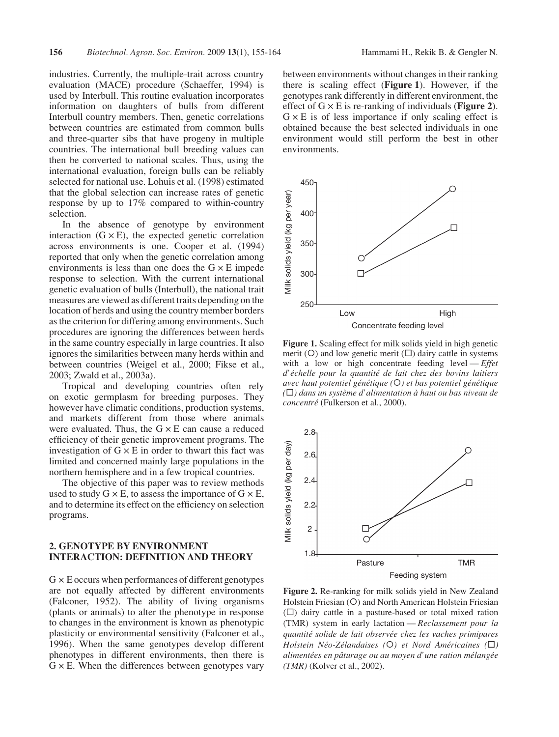industries. Currently, the multiple-trait across country evaluation (MACE) procedure (Schaeffer, 1994) is used by Interbull. This routine evaluation incorporates information on daughters of bulls from different Interbull country members. Then, genetic correlations between countries are estimated from common bulls and three-quarter sibs that have progeny in multiple countries. The international bull breeding values can then be converted to national scales. Thus, using the international evaluation, foreign bulls can be reliably selected for national use. Lohuis et al. (1998) estimated that the global selection can increase rates of genetic response by up to 17% compared to within-country selection.

In the absence of genotype by environment interaction  $(G \times E)$ , the expected genetic correlation across environments is one. Cooper et al. (1994) reported that only when the genetic correlation among environments is less than one does the  $G \times E$  impede response to selection. With the current international genetic evaluation of bulls (Interbull), the national trait measures are viewed as different traits depending on the location of herds and using the country member borders as the criterion for differing among environments. Such procedures are ignoring the differences between herds in the same country especially in large countries. It also ignores the similarities between many herds within and between countries (Weigel et al., 2000; Fikse et al., 2003; Zwald et al., 2003a).

Tropical and developing countries often rely on exotic germplasm for breeding purposes. They however have climatic conditions, production systems, and markets different from those where animals were evaluated. Thus, the  $G \times E$  can cause a reduced efficiency of their genetic improvement programs. The investigation of  $G \times E$  in order to thwart this fact was limited and concerned mainly large populations in the northern hemisphere and in a few tropical countries.

The objective of this paper was to review methods used to study  $G \times E$ , to assess the importance of  $G \times E$ , and to determine its effect on the efficiency on selection programs.

## **2. GENOTYPE BY ENVIRONMENT INTERACTION: DEFINITION AND THEORY**

 $G \times E$  occurs when performances of different genotypes are not equally affected by different environments (Falconer, 1952). The ability of living organisms (plants or animals) to alter the phenotype in response to changes in the environment is known as phenotypic plasticity or environmental sensitivity (Falconer et al., 1996). When the same genotypes develop different phenotypes in different environments, then there is  $G \times E$ . When the differences between genotypes vary between environments without changes in their ranking there is scaling effect (**Figure 1**). However, if the genotypes rank differently in different environment, the effect of G × E is re-ranking of individuals (**Figure 2**).  $G \times E$  is of less importance if only scaling effect is obtained because the best selected individuals in one environment would still perform the best in other environments.



**Figure 1.** Scaling effect for milk solids yield in high genetic merit ( $O$ ) and low genetic merit ( $\square$ ) dairy cattle in systems with a low or high concentrate feeding level — *Effet d'échelle pour la quantité de lait chez des bovins laitiers avec haut potentiel génétique (*°*) et bas potentiel génétique*   $(\Box)$  dans un système d'alimentation à haut ou bas niveau de *concentré* **(**Fulkerson et al., 2000).



**Figure 2.** Re-ranking for milk solids yield in New Zealand Holstein Friesian (O) and North American Holstein Friesian  $(\Box)$  dairy cattle in a pasture-based or total mixed ration (TMR) system in early lactation — *Reclassement pour la quantité solide de lait observée chez les vaches primipares Holstein Néo-Zélandaises* (○*) et Nord Américaines* (□) *alimentées en pâturage ou au moyen d'une ration mélangée (TMR)* (Kolver et al., 2002).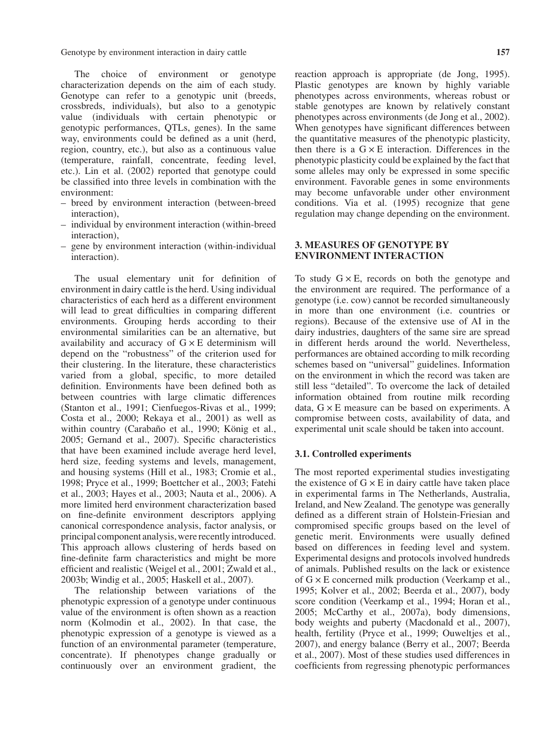Genotype by environment interaction in dairy cattle **157**

The choice of environment or genotype characterization depends on the aim of each study. Genotype can refer to a genotypic unit (breeds, crossbreds, individuals), but also to a genotypic value (individuals with certain phenotypic or genotypic performances, QTLs, genes). In the same way, environments could be defined as a unit (herd, region, country, etc.), but also as a continuous value (temperature, rainfall, concentrate, feeding level, etc.). Lin et al. (2002) reported that genotype could be classified into three levels in combination with the environment:

- breed by environment interaction (between-breed interaction),
- individual by environment interaction (within-breed interaction),
- gene by environment interaction (within-individual interaction).

The usual elementary unit for definition of environment in dairy cattle is the herd. Using individual characteristics of each herd as a different environment will lead to great difficulties in comparing different environments. Grouping herds according to their environmental similarities can be an alternative, but availability and accuracy of  $G \times E$  determinism will depend on the "robustness" of the criterion used for their clustering. In the literature, these characteristics varied from a global, specific, to more detailed definition. Environments have been defined both as between countries with large climatic differences (Stanton et al., 1991; Cienfuegos-Rivas et al., 1999; Costa et al., 2000; Rekaya et al., 2001) as well as within country (Carabaño et al., 1990; König et al., 2005; Gernand et al., 2007). Specific characteristics that have been examined include average herd level, herd size, feeding systems and levels, management, and housing systems (Hill et al., 1983; Cromie et al., 1998; Pryce et al., 1999; Boettcher et al., 2003; Fatehi et al., 2003; Hayes et al., 2003; Nauta et al., 2006). A more limited herd environment characterization based on fine-definite environment descriptors applying canonical correspondence analysis, factor analysis, or principal component analysis, were recently introduced. This approach allows clustering of herds based on fine-definite farm characteristics and might be more efficient and realistic (Weigel et al., 2001; Zwald et al., 2003b; Windig et al., 2005; Haskell et al., 2007).

The relationship between variations of the phenotypic expression of a genotype under continuous value of the environment is often shown as a reaction norm (Kolmodin et al., 2002). In that case, the phenotypic expression of a genotype is viewed as a function of an environmental parameter (temperature, concentrate). If phenotypes change gradually or continuously over an environment gradient, the reaction approach is appropriate (de Jong, 1995). Plastic genotypes are known by highly variable phenotypes across environments, whereas robust or stable genotypes are known by relatively constant phenotypes across environments (de Jong et al., 2002). When genotypes have significant differences between the quantitative measures of the phenotypic plasticity, then there is a  $G \times E$  interaction. Differences in the phenotypic plasticity could be explained by the fact that some alleles may only be expressed in some specific environment. Favorable genes in some environments may become unfavorable under other environment conditions. Via et al. (1995) recognize that gene regulation may change depending on the environment.

# **3. MEASURES OF GENOTYPE BY ENVIRONMENT INTERACTION**

To study  $G \times E$ , records on both the genotype and the environment are required. The performance of a genotype (i.e. cow) cannot be recorded simultaneously in more than one environment (i.e. countries or regions). Because of the extensive use of AI in the dairy industries, daughters of the same sire are spread in different herds around the world. Nevertheless, performances are obtained according to milk recording schemes based on "universal" guidelines. Information on the environment in which the record was taken are still less "detailed". To overcome the lack of detailed information obtained from routine milk recording data,  $G \times E$  measure can be based on experiments. A compromise between costs, availability of data, and experimental unit scale should be taken into account.

## **3.1. Controlled experiments**

The most reported experimental studies investigating the existence of  $G \times E$  in dairy cattle have taken place in experimental farms in The Netherlands, Australia, Ireland, and New Zealand. The genotype was generally defined as a different strain of Holstein-Friesian and compromised specific groups based on the level of genetic merit. Environments were usually defined based on differences in feeding level and system. Experimental designs and protocols involved hundreds of animals. Published results on the lack or existence of G × E concerned milk production (Veerkamp et al., 1995; Kolver et al., 2002; Beerda et al., 2007), body score condition (Veerkamp et al., 1994; Horan et al., 2005; McCarthy et al., 2007a), body dimensions, body weights and puberty (Macdonald et al., 2007), health, fertility (Pryce et al., 1999; Ouweltjes et al., 2007), and energy balance (Berry et al., 2007; Beerda et al., 2007). Most of these studies used differences in coefficients from regressing phenotypic performances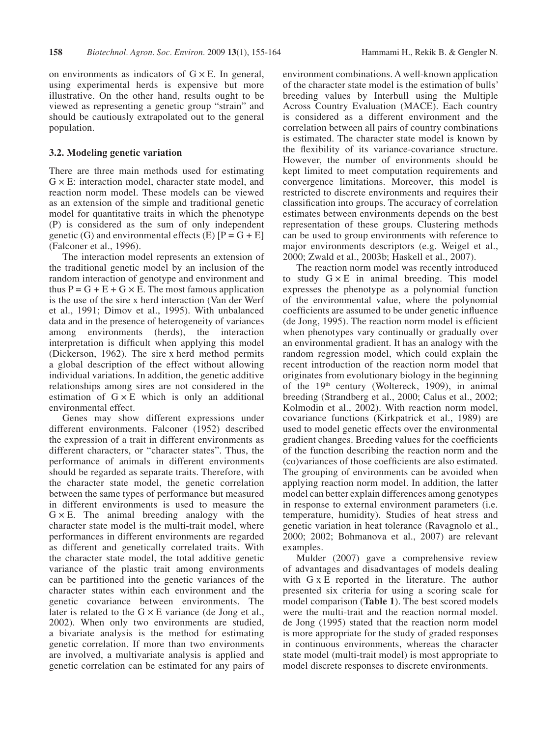on environments as indicators of  $G \times E$ . In general, using experimental herds is expensive but more illustrative. On the other hand, results ought to be viewed as representing a genetic group "strain" and should be cautiously extrapolated out to the general population.

#### **3.2. Modeling genetic variation**

There are three main methods used for estimating  $G \times E$ : interaction model, character state model, and reaction norm model. These models can be viewed as an extension of the simple and traditional genetic model for quantitative traits in which the phenotype (P) is considered as the sum of only independent genetic (G) and environmental effects (E)  $[P = G + E]$ (Falconer et al., 1996).

The interaction model represents an extension of the traditional genetic model by an inclusion of the random interaction of genotype and environment and thus  $P = G + E + G \times E$ . The most famous application is the use of the sire x herd interaction (Van der Werf et al., 1991; Dimov et al., 1995). With unbalanced data and in the presence of heterogeneity of variances among environments (herds), the interaction interpretation is difficult when applying this model (Dickerson, 1962). The sire x herd method permits a global description of the effect without allowing individual variations. In addition, the genetic additive relationships among sires are not considered in the estimation of  $G \times E$  which is only an additional environmental effect.

Genes may show different expressions under different environments. Falconer (1952) described the expression of a trait in different environments as different characters, or "character states". Thus, the performance of animals in different environments should be regarded as separate traits. Therefore, with the character state model, the genetic correlation between the same types of performance but measured in different environments is used to measure the  $G \times E$ . The animal breeding analogy with the character state model is the multi-trait model, where performances in different environments are regarded as different and genetically correlated traits. With the character state model, the total additive genetic variance of the plastic trait among environments can be partitioned into the genetic variances of the character states within each environment and the genetic covariance between environments. The later is related to the  $G \times E$  variance (de Jong et al., 2002). When only two environments are studied, a bivariate analysis is the method for estimating genetic correlation. If more than two environments are involved, a multivariate analysis is applied and genetic correlation can be estimated for any pairs of environment combinations. A well-known application of the character state model is the estimation of bulls' breeding values by Interbull using the Multiple Across Country Evaluation (MACE). Each country is considered as a different environment and the correlation between all pairs of country combinations is estimated. The character state model is known by the flexibility of its variance-covariance structure. However, the number of environments should be kept limited to meet computation requirements and convergence limitations. Moreover, this model is restricted to discrete environments and requires their classification into groups. The accuracy of correlation estimates between environments depends on the best representation of these groups. Clustering methods can be used to group environments with reference to major environments descriptors (e.g. Weigel et al., 2000; Zwald et al., 2003b; Haskell et al., 2007).

The reaction norm model was recently introduced to study  $G \times E$  in animal breeding. This model expresses the phenotype as a polynomial function of the environmental value, where the polynomial coefficients are assumed to be under genetic influence (de Jong, 1995). The reaction norm model is efficient when phenotypes vary continually or gradually over an environmental gradient. It has an analogy with the random regression model, which could explain the recent introduction of the reaction norm model that originates from evolutionary biology in the beginning of the 19<sup>th</sup> century (Woltereck, 1909), in animal breeding (Strandberg et al., 2000; Calus et al., 2002; Kolmodin et al., 2002). With reaction norm model, covariance functions (Kirkpatrick et al., 1989) are used to model genetic effects over the environmental gradient changes. Breeding values for the coefficients of the function describing the reaction norm and the (co)variances of those coefficients are also estimated. The grouping of environments can be avoided when applying reaction norm model. In addition, the latter model can better explain differences among genotypes in response to external environment parameters (i.e. temperature, humidity). Studies of heat stress and genetic variation in heat tolerance (Ravagnolo et al., 2000; 2002; Bohmanova et al., 2007) are relevant examples.

Mulder (2007) gave a comprehensive review of advantages and disadvantages of models dealing with G x E reported in the literature. The author presented six criteria for using a scoring scale for model comparison (**Table 1**). The best scored models were the multi-trait and the reaction normal model. de Jong (1995) stated that the reaction norm model is more appropriate for the study of graded responses in continuous environments, whereas the character state model (multi-trait model) is most appropriate to model discrete responses to discrete environments.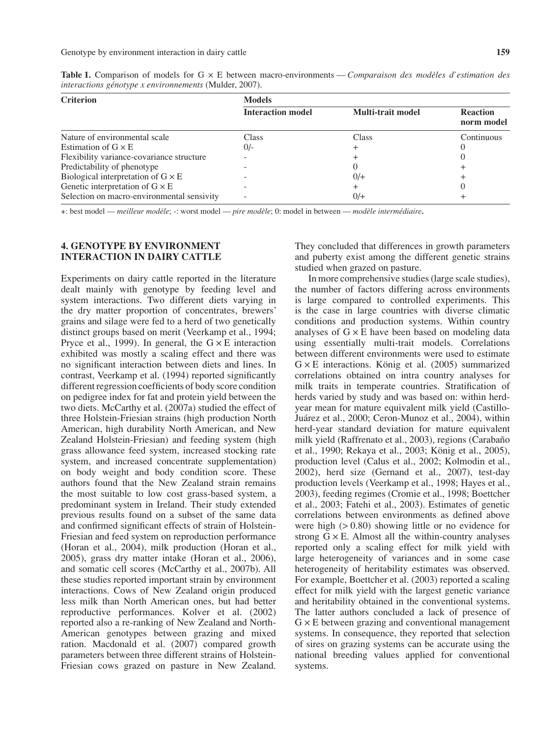| <b>Criterion</b>                           | <b>Models</b>            |                          |                               |  |
|--------------------------------------------|--------------------------|--------------------------|-------------------------------|--|
|                                            | <b>Interaction model</b> | <b>Multi-trait model</b> | <b>Reaction</b><br>norm model |  |
| Nature of environmental scale              | Class                    | Class                    | Continuous                    |  |
| Estimation of $G \times E$                 | $0/-$                    |                          |                               |  |
| Flexibility variance-covariance structure  |                          |                          |                               |  |
| Predictability of phenotype                |                          |                          |                               |  |
| Biological interpretation of $G \times E$  |                          | $0/$ +                   |                               |  |
| Genetic interpretation of $G \times E$     |                          |                          |                               |  |
| Selection on macro-environmental sensivity |                          | 0/+                      |                               |  |

**Table 1.** Comparison of models for G × E between macro-environments — *Comparaison des modèles d'estimation des interactions génotype x environnements* (Mulder, 2007).

**+**: best model — *meilleur modèle*; -: worst model — *pire modèle*; 0: model in between — *modèle intermédiaire***.**

## **4. GENOTYPE BY ENVIRONMENT INTERACTION IN DAIRY CATTLE**

Experiments on dairy cattle reported in the literature dealt mainly with genotype by feeding level and system interactions. Two different diets varying in the dry matter proportion of concentrates, brewers' grains and silage were fed to a herd of two genetically distinct groups based on merit (Veerkamp et al., 1994; Pryce et al., 1999). In general, the  $G \times E$  interaction exhibited was mostly a scaling effect and there was no significant interaction between diets and lines. In contrast, Veerkamp et al. (1994) reported significantly different regression coefficients of body score condition on pedigree index for fat and protein yield between the two diets. McCarthy et al. (2007a) studied the effect of three Holstein-Friesian strains (high production North American, high durability North American, and New Zealand Holstein-Friesian) and feeding system (high grass allowance feed system, increased stocking rate system, and increased concentrate supplementation) on body weight and body condition score. These authors found that the New Zealand strain remains the most suitable to low cost grass-based system, a predominant system in Ireland. Their study extended previous results found on a subset of the same data and confirmed significant effects of strain of Holstein-Friesian and feed system on reproduction performance (Horan et al., 2004), milk production (Horan et al., 2005), grass dry matter intake (Horan et al., 2006), and somatic cell scores (McCarthy et al., 2007b). All these studies reported important strain by environment interactions. Cows of New Zealand origin produced less milk than North American ones, but had better reproductive performances. Kolver et al. (2002) reported also a re-ranking of New Zealand and North-American genotypes between grazing and mixed ration. Macdonald et al. (2007) compared growth parameters between three different strains of Holstein-Friesian cows grazed on pasture in New Zealand. They concluded that differences in growth parameters and puberty exist among the different genetic strains studied when grazed on pasture.

In more comprehensive studies (large scale studies), the number of factors differing across environments is large compared to controlled experiments. This is the case in large countries with diverse climatic conditions and production systems. Within country analyses of  $G \times E$  have been based on modeling data using essentially multi-trait models. Correlations between different environments were used to estimate  $G \times E$  interactions. König et al. (2005) summarized correlations obtained on intra country analyses for milk traits in temperate countries. Stratification of herds varied by study and was based on: within herdyear mean for mature equivalent milk yield (Castillo-Juárez et al., 2000; Ceron-Munoz et al., 2004), within herd-year standard deviation for mature equivalent milk yield (Raffrenato et al., 2003), regions (Carabaño et al., 1990; Rekaya et al., 2003; König et al., 2005), production level (Calus et al., 2002; Kolmodin et al., 2002), herd size (Gernand et al., 2007), test-day production levels (Veerkamp et al., 1998; Hayes et al., 2003), feeding regimes (Cromie et al., 1998; Boettcher et al., 2003; Fatehi et al., 2003). Estimates of genetic correlations between environments as defined above were high  $(> 0.80)$  showing little or no evidence for strong  $G \times E$ . Almost all the within-country analyses reported only a scaling effect for milk yield with large heterogeneity of variances and in some case heterogeneity of heritability estimates was observed. For example, Boettcher et al. (2003) reported a scaling effect for milk yield with the largest genetic variance and heritability obtained in the conventional systems. The latter authors concluded a lack of presence of  $G \times E$  between grazing and conventional management systems. In consequence, they reported that selection of sires on grazing systems can be accurate using the national breeding values applied for conventional systems.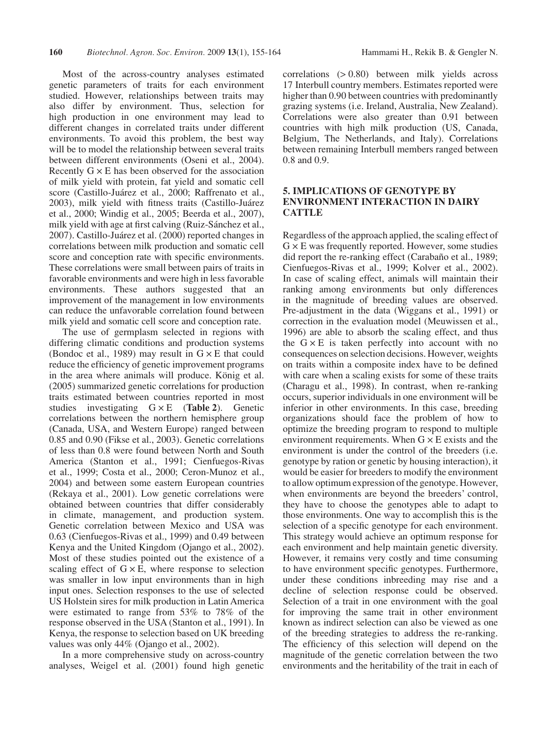Most of the across-country analyses estimated genetic parameters of traits for each environment studied. However, relationships between traits may also differ by environment. Thus, selection for high production in one environment may lead to different changes in correlated traits under different environments. To avoid this problem, the best way will be to model the relationship between several traits between different environments (Oseni et al., 2004). Recently  $G \times E$  has been observed for the association of milk yield with protein, fat yield and somatic cell score (Castillo-Juárez et al., 2000; Raffrenato et al., 2003), milk yield with fitness traits (Castillo-Juárez et al., 2000; Windig et al., 2005; Beerda et al., 2007), milk yield with age at first calving (Ruiz-Sánchez et al., 2007). Castillo-Juárez et al. (2000) reported changes in correlations between milk production and somatic cell score and conception rate with specific environments. These correlations were small between pairs of traits in favorable environments and were high in less favorable environments. These authors suggested that an improvement of the management in low environments can reduce the unfavorable correlation found between milk yield and somatic cell score and conception rate.

The use of germplasm selected in regions with differing climatic conditions and production systems (Bondoc et al., 1989) may result in  $G \times E$  that could reduce the efficiency of genetic improvement programs in the area where animals will produce. König et al. (2005) summarized genetic correlations for production traits estimated between countries reported in most studies investigating G × E (**Table 2**). Genetic correlations between the northern hemisphere group (Canada, USA, and Western Europe) ranged between 0.85 and 0.90 (Fikse et al., 2003). Genetic correlations of less than 0.8 were found between North and South America (Stanton et al., 1991; Cienfuegos-Rivas et al., 1999; Costa et al., 2000; Ceron-Munoz et al., 2004) and between some eastern European countries (Rekaya et al., 2001). Low genetic correlations were obtained between countries that differ considerably in climate, management, and production system. Genetic correlation between Mexico and USA was 0.63 (Cienfuegos-Rivas et al., 1999) and 0.49 between Kenya and the United Kingdom (Ojango et al., 2002). Most of these studies pointed out the existence of a scaling effect of  $G \times E$ , where response to selection was smaller in low input environments than in high input ones. Selection responses to the use of selected US Holstein sires for milk production in Latin America were estimated to range from 53% to 78% of the response observed in the USA (Stanton et al., 1991). In Kenya, the response to selection based on UK breeding values was only 44% (Ojango et al., 2002).

In a more comprehensive study on across-country analyses, Weigel et al. (2001) found high genetic correlations (> 0.80) between milk yields across 17 Interbull country members. Estimates reported were higher than 0.90 between countries with predominantly grazing systems (i.e. Ireland, Australia, New Zealand). Correlations were also greater than 0.91 between countries with high milk production (US, Canada, Belgium, The Netherlands, and Italy). Correlations between remaining Interbull members ranged between 0.8 and 0.9.

# **5. IMPLICATIONS OF GENOTYPE BY ENVIRONMENT INTERACTION IN DAIRY CATTLE**

Regardless of the approach applied, the scaling effect of  $G \times E$  was frequently reported. However, some studies did report the re-ranking effect (Carabaño et al., 1989; Cienfuegos-Rivas et al., 1999; Kolver et al., 2002). In case of scaling effect, animals will maintain their ranking among environments but only differences in the magnitude of breeding values are observed. Pre-adjustment in the data (Wiggans et al., 1991) or correction in the evaluation model (Meuwissen et al., 1996) are able to absorb the scaling effect, and thus the  $G \times E$  is taken perfectly into account with no consequences on selection decisions. However, weights on traits within a composite index have to be defined with care when a scaling exists for some of these traits (Charagu et al., 1998). In contrast, when re-ranking occurs, superior individuals in one environment will be inferior in other environments. In this case, breeding organizations should face the problem of how to optimize the breeding program to respond to multiple environment requirements. When  $G \times E$  exists and the environment is under the control of the breeders (i.e. genotype by ration or genetic by housing interaction), it would be easier for breeders to modify the environment to allow optimum expression of the genotype. However, when environments are beyond the breeders' control, they have to choose the genotypes able to adapt to those environments. One way to accomplish this is the selection of a specific genotype for each environment. This strategy would achieve an optimum response for each environment and help maintain genetic diversity. However, it remains very costly and time consuming to have environment specific genotypes. Furthermore, under these conditions inbreeding may rise and a decline of selection response could be observed. Selection of a trait in one environment with the goal for improving the same trait in other environment known as indirect selection can also be viewed as one of the breeding strategies to address the re-ranking. The efficiency of this selection will depend on the magnitude of the genetic correlation between the two environments and the heritability of the trait in each of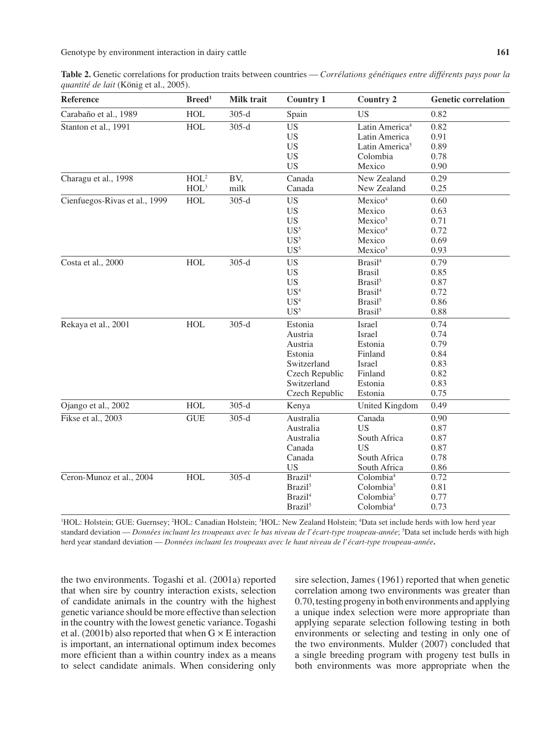**Table 2.** Genetic correlations for production traits between countries — *Corrélations génétiques entre différents pays pour la quantité de lait* (König et al., 2005).

| <b>Reference</b>              | Breed <sup>1</sup>                   | <b>Milk trait</b> | <b>Country 1</b>                                                                                           | <b>Country 2</b>                                                                                                                 | <b>Genetic correlation</b>                                   |
|-------------------------------|--------------------------------------|-------------------|------------------------------------------------------------------------------------------------------------|----------------------------------------------------------------------------------------------------------------------------------|--------------------------------------------------------------|
| Carabaño et al., 1989         | <b>HOL</b>                           | $305-d$           | Spain                                                                                                      | <b>US</b>                                                                                                                        | 0.82                                                         |
| Stanton et al., 1991          | <b>HOL</b>                           | $305-d$           | <b>US</b><br><b>US</b><br><b>US</b><br><b>US</b><br><b>US</b>                                              | Latin America <sup>4</sup><br>Latin America<br>Latin America <sup>5</sup><br>Colombia<br>Mexico                                  | 0.82<br>0.91<br>0.89<br>0.78<br>0.90                         |
| Charagu et al., 1998          | HOL <sup>2</sup><br>HOL <sup>3</sup> | BV,<br>milk       | Canada<br>Canada                                                                                           | New Zealand<br>New Zealand                                                                                                       | 0.29<br>0.25                                                 |
| Cienfuegos-Rivas et al., 1999 | <b>HOL</b>                           | $305-d$           | <b>US</b><br><b>US</b><br><b>US</b><br>$US^5$<br>US <sup>5</sup><br>US <sup>5</sup>                        | Mexico <sup>4</sup><br>Mexico<br>Mexico <sup>5</sup><br>Mexico <sup>4</sup><br>Mexico<br>Mexico <sup>5</sup>                     | 0.60<br>0.63<br>0.71<br>0.72<br>0.69<br>0.93                 |
| Costa et al., 2000            | <b>HOL</b>                           | $305-d$           | <b>US</b><br><b>US</b><br><b>US</b><br>US <sup>4</sup><br>US <sup>4</sup><br>$US^5$                        | Brasil <sup>4</sup><br><b>Brasil</b><br>Brasil <sup>5</sup><br>Brasil <sup>4</sup><br>Brasil <sup>5</sup><br>Brasil <sup>5</sup> | 0.79<br>0.85<br>0.87<br>0.72<br>0.86<br>0.88                 |
| Rekaya et al., 2001           | <b>HOL</b>                           | $305-d$           | Estonia<br>Austria<br>Austria<br>Estonia<br>Switzerland<br>Czech Republic<br>Switzerland<br>Czech Republic | <b>Israel</b><br><b>Israel</b><br>Estonia<br>Finland<br><b>Israel</b><br>Finland<br>Estonia<br>Estonia                           | 0.74<br>0.74<br>0.79<br>0.84<br>0.83<br>0.82<br>0.83<br>0.75 |
| Ojango et al., 2002           | <b>HOL</b>                           | $305-d$           | Kenya                                                                                                      | United Kingdom                                                                                                                   | 0.49                                                         |
| Fikse et al., 2003            | <b>GUE</b>                           | $305-d$           | Australia<br>Australia<br>Australia<br>Canada<br>Canada<br><b>US</b>                                       | Canada<br><b>US</b><br>South Africa<br><b>US</b><br>South Africa<br>South Africa                                                 | 0.90<br>0.87<br>0.87<br>0.87<br>0.78<br>0.86                 |
| Ceron-Munoz et al., 2004      | <b>HOL</b>                           | $305-d$           | Brazil <sup>4</sup><br>Brazil <sup>5</sup><br>Brazil <sup>4</sup><br>Brazil <sup>5</sup>                   | Colombia <sup>4</sup><br>Colombia <sup>5</sup><br>Colombia <sup>5</sup><br>Colombia <sup>4</sup>                                 | 0.72<br>0.81<br>0.77<br>0.73                                 |

<sup>1</sup>HOL: Holstein; GUE: Guernsey; <sup>2</sup>HOL: Canadian Holstein; <sup>3</sup>HOL: New Zealand Holstein; <sup>4</sup>Data set include herds with low herd year standard deviation — *Données incluant les troupeaux avec le bas niveau de l'écart-type troupeau-année*; <sup>5</sup> Data set include herds with high herd year standard deviation — *Données incluant les troupeaux avec le haut niveau de l'écart-type troupeau-année***.**

the two environments. Togashi et al. (2001a) reported that when sire by country interaction exists, selection of candidate animals in the country with the highest genetic variance should be more effective than selection in the country with the lowest genetic variance. Togashi et al. (2001b) also reported that when  $G \times E$  interaction is important, an international optimum index becomes more efficient than a within country index as a means to select candidate animals. When considering only sire selection, James (1961) reported that when genetic correlation among two environments was greater than 0.70, testing progeny in both environments and applying a unique index selection were more appropriate than applying separate selection following testing in both environments or selecting and testing in only one of the two environments. Mulder (2007) concluded that a single breeding program with progeny test bulls in both environments was more appropriate when the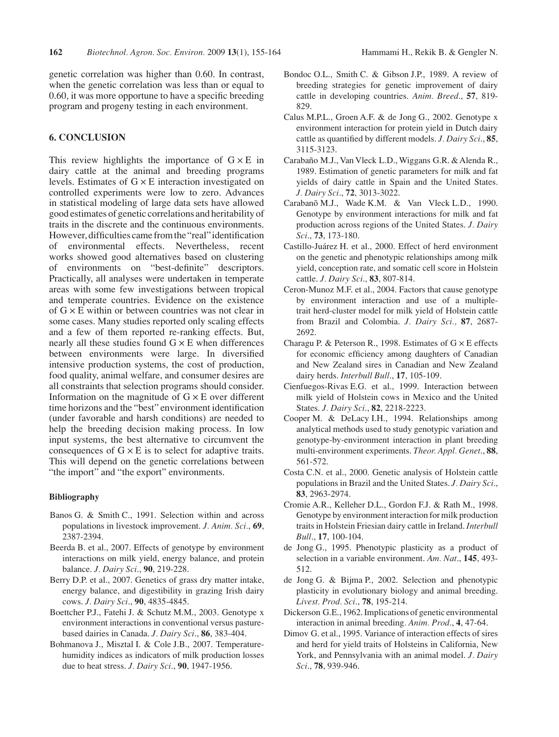genetic correlation was higher than 0.60. In contrast, when the genetic correlation was less than or equal to 0.60, it was more opportune to have a specific breeding program and progeny testing in each environment.

## **6. CONCLUSION**

This review highlights the importance of  $G \times E$  in dairy cattle at the animal and breeding programs levels. Estimates of  $G \times E$  interaction investigated on controlled experiments were low to zero. Advances in statistical modeling of large data sets have allowed good estimates of genetic correlations and heritability of traits in the discrete and the continuous environments. However, difficulties came from the "real" identification of environmental effects. Nevertheless, recent works showed good alternatives based on clustering of environments on "best-definite" descriptors. Practically, all analyses were undertaken in temperate areas with some few investigations between tropical and temperate countries. Evidence on the existence of  $G \times E$  within or between countries was not clear in some cases. Many studies reported only scaling effects and a few of them reported re-ranking effects. But, nearly all these studies found  $G \times E$  when differences between environments were large. In diversified intensive production systems, the cost of production, food quality, animal welfare, and consumer desires are all constraints that selection programs should consider. Information on the magnitude of  $G \times E$  over different time horizons and the "best" environment identification (under favorable and harsh conditions) are needed to help the breeding decision making process. In low input systems, the best alternative to circumvent the consequences of  $G \times E$  is to select for adaptive traits. This will depend on the genetic correlations between "the import" and "the export" environments.

#### **Bibliography**

- Banos G. & Smith C., 1991. Selection within and across populations in livestock improvement. *J. Anim. Sci.*, **69**, 2387-2394.
- Beerda B. et al., 2007. Effects of genotype by environment interactions on milk yield, energy balance, and protein balance. *J. Dairy Sci*., **90**, 219-228.
- Berry D.P. et al., 2007. Genetics of grass dry matter intake, energy balance, and digestibility in grazing Irish dairy cows. *J. Dairy Sci*., **90**, 4835-4845.
- Boettcher P.J., Fatehi J. & Schutz M.M., 2003. Genotype x environment interactions in conventional versus pasturebased dairies in Canada. *J. Dairy Sci*., **86**, 383-404.
- Bohmanova J., Misztal I. & Cole J.B., 2007. Temperaturehumidity indices as indicators of milk production losses due to heat stress. *J. Dairy Sci*., **90**, 1947-1956.
- Bondoc O.L., Smith C. & Gibson J.P., 1989. A review of breeding strategies for genetic improvement of dairy cattle in developing countries. *Anim. Breed*., **57**, 819- 829.
- Calus M.P.L., Groen A.F. & de Jong G., 2002. Genotype x environment interaction for protein yield in Dutch dairy cattle as quantified by different models. *J. Dairy Sci*., **85**, 3115-3123.
- Carabaño M.J., Van Vleck L.D., Wiggans G.R. & Alenda R., 1989. Estimation of genetic parameters for milk and fat yields of dairy cattle in Spain and the United States. *J. Dairy Sci*., **72**, 3013-3022.
- Carabanõ M.J., Wade K.M. & Van Vleck L.D., 1990. Genotype by environment interactions for milk and fat production across regions of the United States. *J. Dairy Sci*., **73**, 173-180.
- Castillo-Juárez H. et al., 2000. Effect of herd environment on the genetic and phenotypic relationships among milk yield, conception rate, and somatic cell score in Holstein cattle. *J. Dairy Sci*., **83**, 807-814.
- Ceron-Munoz M.F. et al., 2004. Factors that cause genotype by environment interaction and use of a multipletrait herd-cluster model for milk yield of Holstein cattle from Brazil and Colombia. *J. Dairy Sci.,* **87**, 2687- 2692.
- Charagu P. & Peterson R., 1998. Estimates of  $G \times E$  effects for economic efficiency among daughters of Canadian and New Zealand sires in Canadian and New Zealand dairy herds. *Interbull Bull*., **17**, 105-109.
- Cienfuegos-Rivas E.G. et al., 1999. Interaction between milk yield of Holstein cows in Mexico and the United States. *J. Dairy Sci*., **82**, 2218-2223.
- Cooper M. & DeLacy I.H., 1994. Relationships among analytical methods used to study genotypic variation and genotype-by-environment interaction in plant breeding multi-environment experiments. *Theor. Appl. Genet*., **88**, 561-572.
- Costa C.N. et al., 2000. Genetic analysis of Holstein cattle populations in Brazil and the United States. *J. Dairy Sci*., **83**, 2963-2974.
- Cromie A.R., Kelleher D.L., Gordon F.J. & Rath M., 1998. Genotype by environment interaction for milk production traits in Holstein Friesian dairy cattle in Ireland. *Interbull Bull*., **17**, 100-104.
- de Jong G., 1995. Phenotypic plasticity as a product of selection in a variable environment. *Am. Nat*., **145**, 493- 512.
- de Jong G. & Bijma P., 2002. Selection and phenotypic plasticity in evolutionary biology and animal breeding. *Livest. Prod. Sci*., **78**, 195-214.
- Dickerson G.E., 1962. Implications of genetic environmental interaction in animal breeding*. Anim. Prod*., **4**, 47-64.
- Dimov G. et al., 1995. Variance of interaction effects of sires and herd for yield traits of Holsteins in California, New York, and Pennsylvania with an animal model. *J. Dairy Sci*., **78**, 939-946.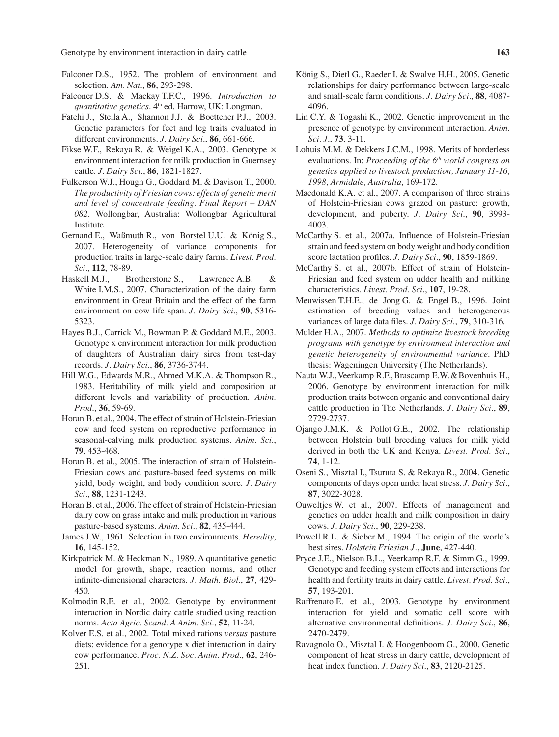Genotype by environment interaction in dairy cattle **163 163** 

- Falconer D.S., 1952. The problem of environment and selection. *Am. Nat*., **86**, 293-298.
- Falconer D.S. & Mackay T.F.C., 1996. *Introduction to quantitative genetics*. 4th ed. Harrow, UK: Longman.
- Fatehi J., Stella A., Shannon J.J. & Boettcher P.J., 2003. Genetic parameters for feet and leg traits evaluated in different environments. *J. Dairy Sci*., **86**, 661-666.
- Fikse W.F., Rekaya R. & Weigel K.A., 2003. Genotype × environment interaction for milk production in Guernsey cattle. *J. Dairy Sci*., **86**, 1821-1827.
- Fulkerson W.J., Hough G., Goddard M. & Davison T., 2000. *The productivity of Friesian cows: effects of genetic merit and level of concentrate feeding. Final Report – DAN 082*. Wollongbar, Australia: Wollongbar Agricultural Institute.
- Gernand E., Waßmuth R., von Borstel U.U. & König S., 2007. Heterogeneity of variance components for production traits in large-scale dairy farms. *Livest. Prod. Sci*., **112**, 78-89.
- Haskell M.J., Brotherstone S., Lawrence A.B. & White I.M.S., 2007. Characterization of the dairy farm environment in Great Britain and the effect of the farm environment on cow life span. *J. Dairy Sci*., **90**, 5316- 5323.
- Hayes B.J., Carrick M., Bowman P. & Goddard M.E., 2003. Genotype x environment interaction for milk production of daughters of Australian dairy sires from test-day records. *J. Dairy Sci*., **86**, 3736-3744.
- Hill W.G., Edwards M.R., Ahmed M.K.A. & Thompson R., 1983. Heritability of milk yield and composition at different levels and variability of production. *Anim. Prod*., **36**, 59-69.
- Horan B. et al., 2004. The effect of strain of Holstein-Friesian cow and feed system on reproductive performance in seasonal-calving milk production systems. *Anim. Sci*., **79**, 453-468.
- Horan B. et al., 2005. The interaction of strain of Holstein-Friesian cows and pasture-based feed systems on milk yield, body weight, and body condition score. *J. Dairy Sci*., **88**, 1231-1243.
- Horan B. et al., 2006. The effect of strain of Holstein-Friesian dairy cow on grass intake and milk production in various pasture-based systems. *Anim. Sci*., **82**, 435-444.
- James J.W., 1961. Selection in two environments. *Heredity*, **16**, 145-152.
- Kirkpatrick M. & Heckman N., 1989. A quantitative genetic model for growth, shape, reaction norms, and other infinite-dimensional characters. *J. Math. Biol*., **27**, 429- 450.
- Kolmodin R.E. et al., 2002. Genotype by environment interaction in Nordic dairy cattle studied using reaction norms. *Acta Agric. Scand. A Anim. Sci.*, **52**, 11-24.
- Kolver E.S. et al., 2002. Total mixed rations *versus* pasture diets: evidence for a genotype x diet interaction in dairy cow performance. *Proc. N.Z. Soc. Anim. Prod*., **62**, 246- 251.
- König S., Dietl G., Raeder I. & Swalve H.H., 2005. Genetic relationships for dairy performance between large-scale and small-scale farm conditions. *J. Dairy Sci*., **88**, 4087- 4096.
- Lin C.Y. & Togashi K., 2002. Genetic improvement in the presence of genotype by environment interaction. *Anim. Sci. J*., **73**, 3-11.
- Lohuis M.M. & Dekkers J.C.M., 1998. Merits of borderless evaluations. In: *Proceeding of the 6<sup>th</sup> world congress on genetics applied to livestock production, January 11-16, 1998, Armidale, Australia*, 169-172.
- Macdonald K.A. et al., 2007. A comparison of three strains of Holstein-Friesian cows grazed on pasture: growth, development, and puberty. *J. Dairy Sci*., **90**, 3993- 4003.
- McCarthy S. et al., 2007a. Influence of Holstein-Friesian strain and feed system on body weight and body condition score lactation profiles. *J. Dairy Sci*., **90**, 1859-1869.
- McCarthy S. et al., 2007b. Effect of strain of Holstein-Friesian and feed system on udder health and milking characteristics. *Livest. Prod. Sci*., **107**, 19-28.
- Meuwissen T.H.E., de Jong G. & Engel B., 1996. Joint estimation of breeding values and heterogeneous variances of large data files. *J. Dairy Sci*., **79**, 310-316.
- Mulder H.A., 2007. *Methods to optimize livestock breeding programs with genotype by environment interaction and genetic heterogeneity of environmental variance*. PhD thesis: Wageningen University (The Netherlands).
- Nauta W.J., Veerkamp R.F., Brascamp E.W. & Bovenhuis H., 2006. Genotype by environment interaction for milk production traits between organic and conventional dairy cattle production in The Netherlands. *J. Dairy Sci*., **89**, 2729-2737.
- Ojango J.M.K. & Pollot G.E., 2002. The relationship between Holstein bull breeding values for milk yield derived in both the UK and Kenya. *Livest. Prod. Sci*., **74**, 1-12.
- Oseni S., Misztal I., Tsuruta S. & Rekaya R., 2004. Genetic components of days open under heat stress. *J. Dairy Sci*., **87**, 3022-3028.
- Ouweltjes W. et al., 2007. Effects of management and genetics on udder health and milk composition in dairy cows. *J. Dairy Sci*., **90**, 229-238.
- Powell R.L. & Sieber M., 1994. The origin of the world's best sires. *Holstein Friesian J*., **June**, 427-440.
- Pryce J.E., Nielson B.L., Veerkamp R.F. & Simm G., 1999. Genotype and feeding system effects and interactions for health and fertility traits in dairy cattle. *Livest. Prod. Sci*., **57**, 193-201.
- Raffrenato E. et al., 2003. Genotype by environment interaction for yield and somatic cell score with alternative environmental definitions. *J. Dairy Sci*., **86**, 2470-2479.
- Ravagnolo O., Misztal I. & Hoogenboom G., 2000. Genetic component of heat stress in dairy cattle, development of heat index function. *J. Dairy Sci*., **83**, 2120-2125.